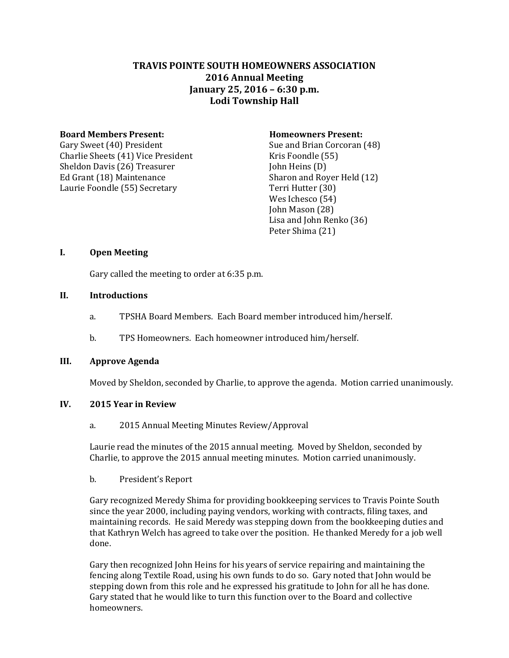# **TRAVIS POINTE SOUTH HOMEOWNERS ASSOCIATION 2016 Annual Meeting January 25, 2016 – 6:30 p.m. Lodi Township Hall**

## **Board Members Present: Homeowners Present:**

Gary Sweet (40) President Sue and Brian Corcoran (48) Charlie Sheets (41) Vice President Kris Foondle (55) Sheldon Davis (26) Treasurer John Heins (D) Ed Grant (18) Maintenance Sharon and Royer Held (12) Laurie Foondle (55) Secretary Terri Hutter (30)

Wes Ichesco (54) John Mason (28) Lisa and John Renko (36) Peter Shima (21)

# **I. Open Meeting**

Gary called the meeting to order at 6:35 p.m.

# **II. Introductions**

- a. TPSHA Board Members. Each Board member introduced him/herself.
- b. TPS Homeowners. Each homeowner introduced him/herself.

# **III. Approve Agenda**

Moved by Sheldon, seconded by Charlie, to approve the agenda. Motion carried unanimously.

# **IV. 2015 Year in Review**

a. 2015 Annual Meeting Minutes Review/Approval

Laurie read the minutes of the 2015 annual meeting. Moved by Sheldon, seconded by Charlie, to approve the 2015 annual meeting minutes. Motion carried unanimously.

b. President's Report

Gary recognized Meredy Shima for providing bookkeeping services to Travis Pointe South since the year 2000, including paying vendors, working with contracts, filing taxes, and maintaining records. He said Meredy was stepping down from the bookkeeping duties and that Kathryn Welch has agreed to take over the position. He thanked Meredy for a job well done.

Gary then recognized John Heins for his years of service repairing and maintaining the fencing along Textile Road, using his own funds to do so. Gary noted that John would be stepping down from this role and he expressed his gratitude to John for all he has done. Gary stated that he would like to turn this function over to the Board and collective homeowners.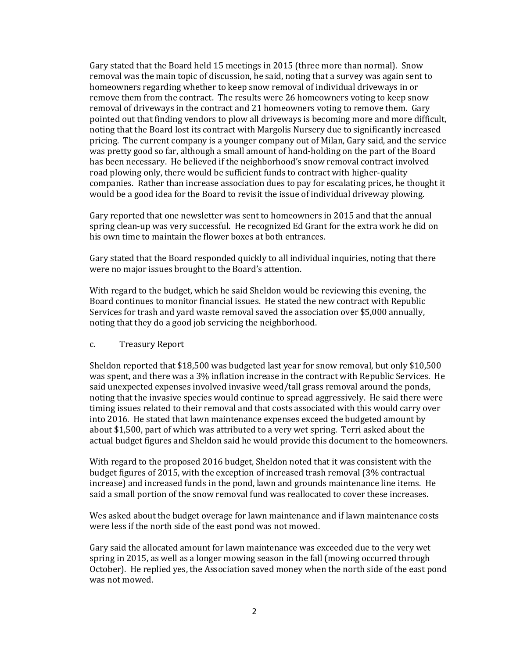Gary stated that the Board held 15 meetings in 2015 (three more than normal). Snow removal was the main topic of discussion, he said, noting that a survey was again sent to homeowners regarding whether to keep snow removal of individual driveways in or remove them from the contract. The results were 26 homeowners voting to keep snow removal of driveways in the contract and 21 homeowners voting to remove them. Gary pointed out that finding vendors to plow all driveways is becoming more and more difficult, noting that the Board lost its contract with Margolis Nursery due to significantly increased pricing. The current company is a younger company out of Milan, Gary said, and the service was pretty good so far, although a small amount of hand-holding on the part of the Board has been necessary. He believed if the neighborhood's snow removal contract involved road plowing only, there would be sufficient funds to contract with higher-quality companies. Rather than increase association dues to pay for escalating prices, he thought it would be a good idea for the Board to revisit the issue of individual driveway plowing.

Gary reported that one newsletter was sent to homeowners in 2015 and that the annual spring clean-up was very successful. He recognized Ed Grant for the extra work he did on his own time to maintain the flower boxes at both entrances.

Gary stated that the Board responded quickly to all individual inquiries, noting that there were no major issues brought to the Board's attention.

With regard to the budget, which he said Sheldon would be reviewing this evening, the Board continues to monitor financial issues. He stated the new contract with Republic Services for trash and yard waste removal saved the association over \$5,000 annually, noting that they do a good job servicing the neighborhood.

### c. Treasury Report

Sheldon reported that \$18,500 was budgeted last year for snow removal, but only \$10,500 was spent, and there was a 3% inflation increase in the contract with Republic Services. He said unexpected expenses involved invasive weed/tall grass removal around the ponds, noting that the invasive species would continue to spread aggressively. He said there were timing issues related to their removal and that costs associated with this would carry over into 2016. He stated that lawn maintenance expenses exceed the budgeted amount by about \$1,500, part of which was attributed to a very wet spring. Terri asked about the actual budget figures and Sheldon said he would provide this document to the homeowners.

With regard to the proposed 2016 budget, Sheldon noted that it was consistent with the budget figures of 2015, with the exception of increased trash removal (3% contractual increase) and increased funds in the pond, lawn and grounds maintenance line items. He said a small portion of the snow removal fund was reallocated to cover these increases.

Wes asked about the budget overage for lawn maintenance and if lawn maintenance costs were less if the north side of the east pond was not mowed.

Gary said the allocated amount for lawn maintenance was exceeded due to the very wet spring in 2015, as well as a longer mowing season in the fall (mowing occurred through October). He replied yes, the Association saved money when the north side of the east pond was not mowed.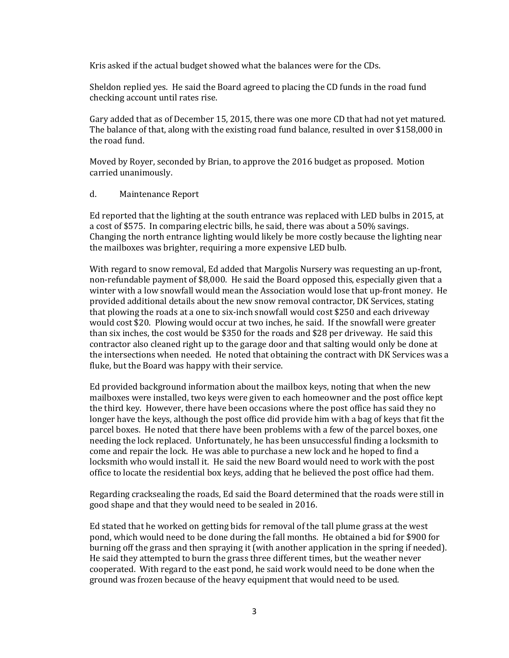Kris asked if the actual budget showed what the balances were for the CDs.

Sheldon replied yes. He said the Board agreed to placing the CD funds in the road fund checking account until rates rise.

Gary added that as of December 15, 2015, there was one more CD that had not yet matured. The balance of that, along with the existing road fund balance, resulted in over \$158,000 in the road fund.

Moved by Royer, seconded by Brian, to approve the 2016 budget as proposed. Motion carried unanimously.

### d. Maintenance Report

Ed reported that the lighting at the south entrance was replaced with LED bulbs in 2015, at a cost of \$575. In comparing electric bills, he said, there was about a 50% savings. Changing the north entrance lighting would likely be more costly because the lighting near the mailboxes was brighter, requiring a more expensive LED bulb.

With regard to snow removal, Ed added that Margolis Nursery was requesting an up-front, non-refundable payment of \$8,000. He said the Board opposed this, especially given that a winter with a low snowfall would mean the Association would lose that up-front money. He provided additional details about the new snow removal contractor, DK Services, stating that plowing the roads at a one to six-inch snowfall would cost \$250 and each driveway would cost \$20. Plowing would occur at two inches, he said. If the snowfall were greater than six inches, the cost would be \$350 for the roads and \$28 per driveway. He said this contractor also cleaned right up to the garage door and that salting would only be done at the intersections when needed. He noted that obtaining the contract with DK Services was a fluke, but the Board was happy with their service.

Ed provided background information about the mailbox keys, noting that when the new mailboxes were installed, two keys were given to each homeowner and the post office kept the third key. However, there have been occasions where the post office has said they no longer have the keys, although the post office did provide him with a bag of keys that fit the parcel boxes. He noted that there have been problems with a few of the parcel boxes, one needing the lock replaced. Unfortunately, he has been unsuccessful finding a locksmith to come and repair the lock. He was able to purchase a new lock and he hoped to find a locksmith who would install it. He said the new Board would need to work with the post office to locate the residential box keys, adding that he believed the post office had them.

Regarding cracksealing the roads, Ed said the Board determined that the roads were still in good shape and that they would need to be sealed in 2016.

Ed stated that he worked on getting bids for removal of the tall plume grass at the west pond, which would need to be done during the fall months. He obtained a bid for \$900 for burning off the grass and then spraying it (with another application in the spring if needed). He said they attempted to burn the grass three different times, but the weather never cooperated. With regard to the east pond, he said work would need to be done when the ground was frozen because of the heavy equipment that would need to be used.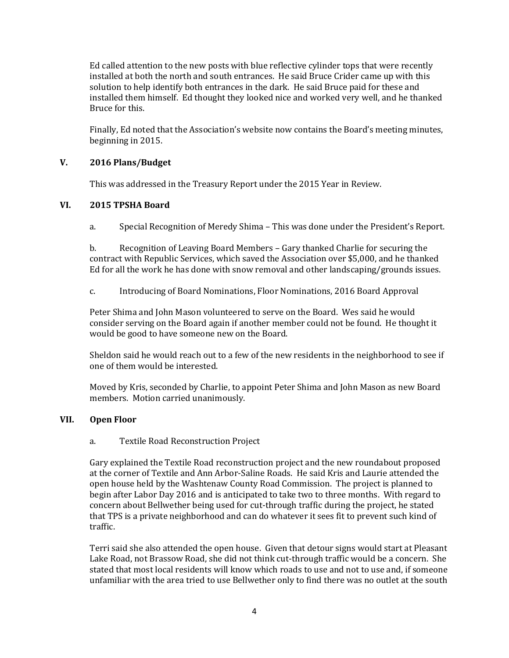Ed called attention to the new posts with blue reflective cylinder tops that were recently installed at both the north and south entrances. He said Bruce Crider came up with this solution to help identify both entrances in the dark. He said Bruce paid for these and installed them himself. Ed thought they looked nice and worked very well, and he thanked Bruce for this.

Finally, Ed noted that the Association's website now contains the Board's meeting minutes, beginning in 2015.

# **V. 2016 Plans/Budget**

This was addressed in the Treasury Report under the 2015 Year in Review.

# **VI. 2015 TPSHA Board**

a. Special Recognition of Meredy Shima – This was done under the President's Report.

b. Recognition of Leaving Board Members – Gary thanked Charlie for securing the contract with Republic Services, which saved the Association over \$5,000, and he thanked Ed for all the work he has done with snow removal and other landscaping/grounds issues.

c. Introducing of Board Nominations, Floor Nominations, 2016 Board Approval

Peter Shima and John Mason volunteered to serve on the Board. Wes said he would consider serving on the Board again if another member could not be found. He thought it would be good to have someone new on the Board.

Sheldon said he would reach out to a few of the new residents in the neighborhood to see if one of them would be interested.

Moved by Kris, seconded by Charlie, to appoint Peter Shima and John Mason as new Board members. Motion carried unanimously.

## **VII. Open Floor**

## a. Textile Road Reconstruction Project

Gary explained the Textile Road reconstruction project and the new roundabout proposed at the corner of Textile and Ann Arbor-Saline Roads. He said Kris and Laurie attended the open house held by the Washtenaw County Road Commission. The project is planned to begin after Labor Day 2016 and is anticipated to take two to three months. With regard to concern about Bellwether being used for cut-through traffic during the project, he stated that TPS is a private neighborhood and can do whatever it sees fit to prevent such kind of traffic.

Terri said she also attended the open house. Given that detour signs would start at Pleasant Lake Road, not Brassow Road, she did not think cut-through traffic would be a concern. She stated that most local residents will know which roads to use and not to use and, if someone unfamiliar with the area tried to use Bellwether only to find there was no outlet at the south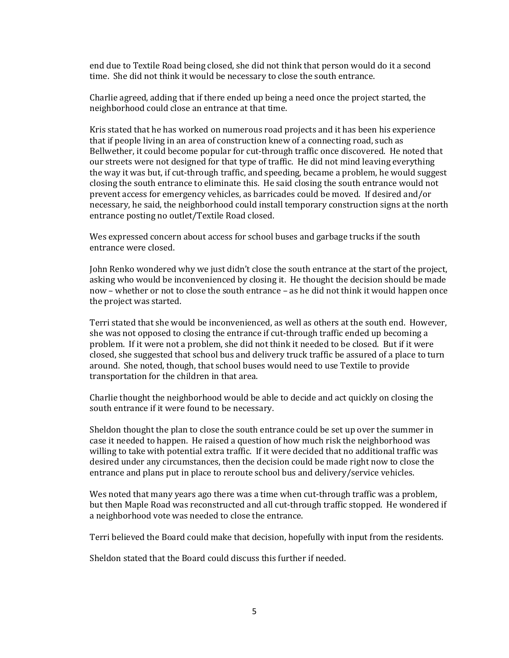end due to Textile Road being closed, she did not think that person would do it a second time. She did not think it would be necessary to close the south entrance.

Charlie agreed, adding that if there ended up being a need once the project started, the neighborhood could close an entrance at that time.

Kris stated that he has worked on numerous road projects and it has been his experience that if people living in an area of construction knew of a connecting road, such as Bellwether, it could become popular for cut-through traffic once discovered. He noted that our streets were not designed for that type of traffic. He did not mind leaving everything the way it was but, if cut-through traffic, and speeding, became a problem, he would suggest closing the south entrance to eliminate this. He said closing the south entrance would not prevent access for emergency vehicles, as barricades could be moved. If desired and/or necessary, he said, the neighborhood could install temporary construction signs at the north entrance posting no outlet/Textile Road closed.

Wes expressed concern about access for school buses and garbage trucks if the south entrance were closed.

John Renko wondered why we just didn't close the south entrance at the start of the project, asking who would be inconvenienced by closing it. He thought the decision should be made now – whether or not to close the south entrance – as he did not think it would happen once the project was started.

Terri stated that she would be inconvenienced, as well as others at the south end. However, she was not opposed to closing the entrance if cut-through traffic ended up becoming a problem. If it were not a problem, she did not think it needed to be closed. But if it were closed, she suggested that school bus and delivery truck traffic be assured of a place to turn around. She noted, though, that school buses would need to use Textile to provide transportation for the children in that area.

Charlie thought the neighborhood would be able to decide and act quickly on closing the south entrance if it were found to be necessary.

Sheldon thought the plan to close the south entrance could be set up over the summer in case it needed to happen. He raised a question of how much risk the neighborhood was willing to take with potential extra traffic. If it were decided that no additional traffic was desired under any circumstances, then the decision could be made right now to close the entrance and plans put in place to reroute school bus and delivery/service vehicles.

Wes noted that many years ago there was a time when cut-through traffic was a problem, but then Maple Road was reconstructed and all cut-through traffic stopped. He wondered if a neighborhood vote was needed to close the entrance.

Terri believed the Board could make that decision, hopefully with input from the residents.

Sheldon stated that the Board could discuss this further if needed.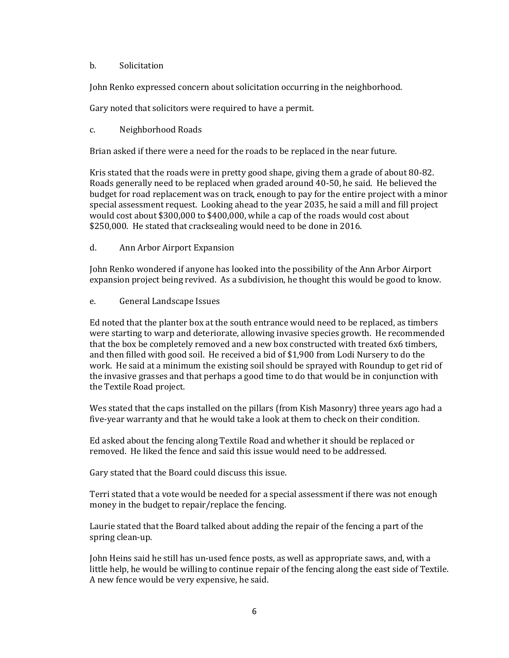## b. Solicitation

John Renko expressed concern about solicitation occurring in the neighborhood.

Gary noted that solicitors were required to have a permit.

## c. Neighborhood Roads

Brian asked if there were a need for the roads to be replaced in the near future.

Kris stated that the roads were in pretty good shape, giving them a grade of about 80-82. Roads generally need to be replaced when graded around 40-50, he said. He believed the budget for road replacement was on track, enough to pay for the entire project with a minor special assessment request. Looking ahead to the year 2035, he said a mill and fill project would cost about \$300,000 to \$400,000, while a cap of the roads would cost about \$250,000. He stated that cracksealing would need to be done in 2016.

d. Ann Arbor Airport Expansion

John Renko wondered if anyone has looked into the possibility of the Ann Arbor Airport expansion project being revived. As a subdivision, he thought this would be good to know.

## e. General Landscape Issues

Ed noted that the planter box at the south entrance would need to be replaced, as timbers were starting to warp and deteriorate, allowing invasive species growth. He recommended that the box be completely removed and a new box constructed with treated 6x6 timbers, and then filled with good soil. He received a bid of \$1,900 from Lodi Nursery to do the work. He said at a minimum the existing soil should be sprayed with Roundup to get rid of the invasive grasses and that perhaps a good time to do that would be in conjunction with the Textile Road project.

Wes stated that the caps installed on the pillars (from Kish Masonry) three years ago had a five-year warranty and that he would take a look at them to check on their condition.

Ed asked about the fencing along Textile Road and whether it should be replaced or removed. He liked the fence and said this issue would need to be addressed.

Gary stated that the Board could discuss this issue.

Terri stated that a vote would be needed for a special assessment if there was not enough money in the budget to repair/replace the fencing.

Laurie stated that the Board talked about adding the repair of the fencing a part of the spring clean-up.

John Heins said he still has un-used fence posts, as well as appropriate saws, and, with a little help, he would be willing to continue repair of the fencing along the east side of Textile. A new fence would be very expensive, he said.